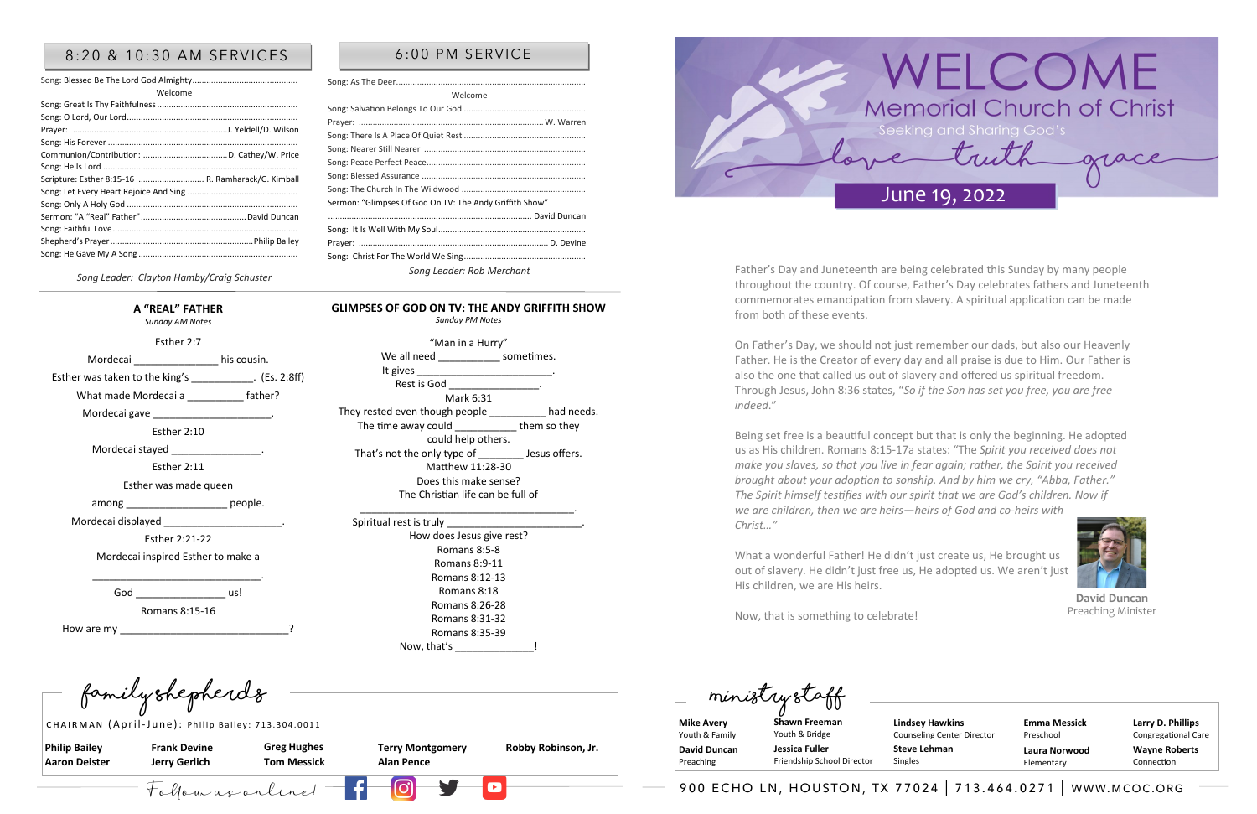Follow us online! 900 echo ln, houston, tx 77024 | 713.464.0271 | www.mcoc.org

**Philip Bailey Aaron Deister** 

**Frank Devine Jerry Gerlich**

**Terry Montgomery Alan Pence** 

**Greg Hughes Tom Messick** 

**Robby Robinson, Jr.** 

**Family Shepherds Ministry Staff**

CHAIRMAN (April-June): Philip Bailey: 713.304.0011

**Mike Avery**  Youth & Family **David Duncan**  Preaching

**Larry D. Phillips** Congregational Care **Wayne Roberts** Connection

**Shawn Freeman** Youth & Bridge **Jessica Fuller** 

Friendship School Director

**Emma Messick** Preschool **Laura Norwood** Elementary



#### 8:20 & 10:30 AM SERVICES | 6:00 PM SERVICE

| Welcome                                            |  |
|----------------------------------------------------|--|
|                                                    |  |
|                                                    |  |
|                                                    |  |
|                                                    |  |
|                                                    |  |
|                                                    |  |
| Scripture: Esther 8:15-16  R. Ramharack/G. Kimball |  |
|                                                    |  |
|                                                    |  |
|                                                    |  |
|                                                    |  |
|                                                    |  |
|                                                    |  |
|                                                    |  |

"Man in a Hurry" We all need \_\_\_\_\_\_\_\_\_\_\_\_\_\_ sometimes.

*Song Leader: Clayton Hamby/Craig Schuster*

Welcome

The time away could them so they could help others. That's not the only type of That's not the only type of The Jesus offers. Matthew 11:28-30 Does this make sense? The Christian life can be full of \_\_\_\_\_\_\_\_\_\_\_\_\_\_\_\_\_\_\_\_\_\_\_\_\_\_\_\_\_\_\_\_\_\_\_\_\_\_.

Song: Salvation Belongs To Our God ....................................................



How does Jesus give rest? Romans 8:5-8 Romans 8:9-11 Romans 8:12-13 Romans 8:18 Romans 8:26-28 Romans 8:31-32 Romans 8:35-39 Now, that's [19]

Prayer: ...............................................................................W. Warren Song: There Is A Place Of Quiet Rest .................................................... Song: Nearer Still Nearer ..................................................................... Song: Peace Perfect Peace....................................................................

Song: The Church In The Wildwood ..................................................... Sermon: "Glimpses Of God On TV: The Andy Griffith Show"

....................................................................................... David Duncan

Prayer: ................................................................................. D. Devine

*Song Leader: Rob Merchant*

#### **A "REAL" FATHER**

*Sunday AM Notes* 

Esther 2:7

Mordecai his cousin.

Esther was taken to the king's \_\_\_\_\_\_\_\_\_\_\_\_. (Es. 2:8ff)

What made Mordecai a \_\_\_\_\_\_\_\_\_\_ father?

Mordecai gave

Esther 2:10

Mordecai stayed

Esther 2:11

Esther was made queen

among people.

Mordecai displayed \_\_\_\_\_\_\_\_\_\_\_\_\_\_\_\_\_\_\_\_\_.

Esther 2:21-22

Mordecai inspired Esther to make a

God us!

\_\_\_\_\_\_\_\_\_\_\_\_\_\_\_\_\_\_\_\_\_\_\_\_\_\_\_\_\_\_.

They rested even though people \_\_\_\_\_\_\_\_\_ had needs.

Song: As The Deer.......

Song: Blessed Assurance ................

Song: It Is Well With My Soul...............

Song: Christ For The World We Sing.............

It gives

Romans 8:15-16

How are my

**GLIMPSES OF GOD ON TV: THE ANDY GRIFFITH SHOW** *Sunday PM Notes* 

Mark 6:31

Spiritual rest is truly \_\_\_\_\_\_\_\_\_\_\_\_\_\_\_\_\_\_\_\_\_\_\_\_.

Rest is God

**Lindsey Hawkins** Counseling Center Director **Steve Lehman**

Singles

Father's Day and Juneteenth are being celebrated this Sunday by many people throughout the country. Of course, Father's Day celebrates fathers and Juneteenth commemorates emancipation from slavery. A spiritual application can be made from both of these events.

On Father's Day, we should not just remember our dads, but also our Heavenly Father. He is the Creator of every day and all praise is due to Him. Our Father is also the one that called us out of slavery and offered us spiritual freedom. Through Jesus, John 8:36 states, "*So if the Son has set you free, you are free indeed*."

Being set free is a beautiful concept but that is only the beginning. He adopted us as His children. Romans 8:15-17a states: "The *Spirit you received does not make you slaves, so that you live in fear again; rather, the Spirit you received brought about your adoption to sonship. And by him we cry, "Abba, Father." The Spirit himself testifies with our spirit that we are God's children. Now if we are children, then we are heirs—heirs of God and co-heirs with Christ…"*

What a wonderful Father! He didn't just create us, He brought us out of slavery. He didn't just free us, He adopted us. We aren't just His children, we are His heirs.

Now, that is something to celebrate!

**David Duncan** Preaching Minister